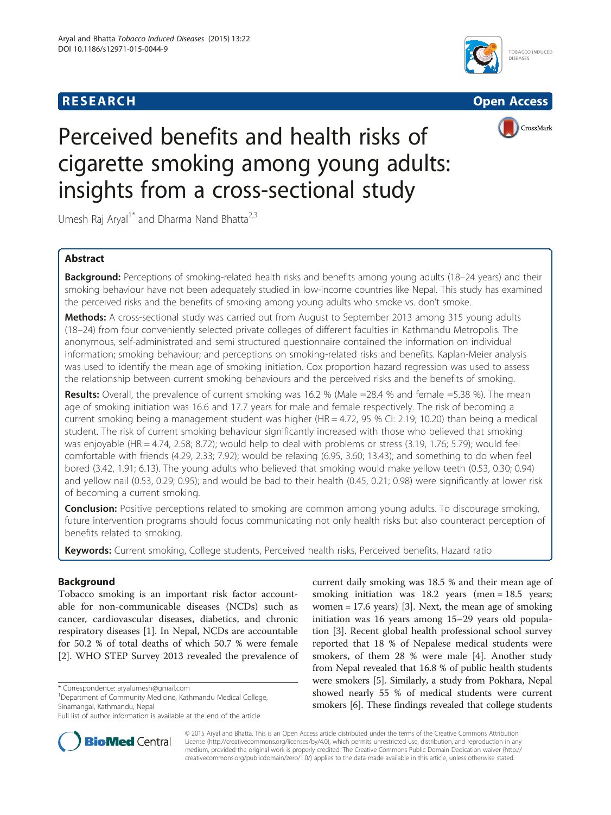





# Perceived benefits and health risks of cigarette smoking among young adults: insights from a cross-sectional study

Umesh Raj Aryal<sup>1\*</sup> and Dharma Nand Bhatta<sup>2,3</sup>

# Abstract

Background: Perceptions of smoking-related health risks and benefits among young adults (18-24 years) and their smoking behaviour have not been adequately studied in low-income countries like Nepal. This study has examined the perceived risks and the benefits of smoking among young adults who smoke vs. don't smoke.

Methods: A cross-sectional study was carried out from August to September 2013 among 315 young adults (18–24) from four conveniently selected private colleges of different faculties in Kathmandu Metropolis. The anonymous, self-administrated and semi structured questionnaire contained the information on individual information; smoking behaviour; and perceptions on smoking-related risks and benefits. Kaplan-Meier analysis was used to identify the mean age of smoking initiation. Cox proportion hazard regression was used to assess the relationship between current smoking behaviours and the perceived risks and the benefits of smoking.

Results: Overall, the prevalence of current smoking was 16.2 % (Male =28.4 % and female =5.38 %). The mean age of smoking initiation was 16.6 and 17.7 years for male and female respectively. The risk of becoming a current smoking being a management student was higher (HR = 4.72, 95 % CI: 2.19; 10.20) than being a medical student. The risk of current smoking behaviour significantly increased with those who believed that smoking was enjoyable (HR = 4.74, 2.58; 8.72); would help to deal with problems or stress (3.19, 1.76; 5.79); would feel comfortable with friends (4.29, 2.33; 7.92); would be relaxing (6.95, 3.60; 13.43); and something to do when feel bored (3.42, 1.91; 6.13). The young adults who believed that smoking would make yellow teeth (0.53, 0.30; 0.94) and yellow nail (0.53, 0.29; 0.95); and would be bad to their health (0.45, 0.21; 0.98) were significantly at lower risk of becoming a current smoking.

**Conclusion:** Positive perceptions related to smoking are common among young adults. To discourage smoking, future intervention programs should focus communicating not only health risks but also counteract perception of benefits related to smoking.

Keywords: Current smoking, College students, Perceived health risks, Perceived benefits, Hazard ratio

# Background

Tobacco smoking is an important risk factor accountable for non-communicable diseases (NCDs) such as cancer, cardiovascular diseases, diabetics, and chronic respiratory diseases [[1\]](#page-7-0). In Nepal, NCDs are accountable for 50.2 % of total deaths of which 50.7 % were female [[2\]](#page-7-0). WHO STEP Survey 2013 revealed the prevalence of

\* Correspondence: [aryalumesh@gmail.com](mailto:aryalumesh@gmail.com) <sup>1</sup>

<sup>1</sup>Department of Community Medicine, Kathmandu Medical College, Sinamangal, Kathmandu, Nepal

current daily smoking was 18.5 % and their mean age of smoking initiation was 18.2 years (men = 18.5 years; women = 17.6 years) [[3\]](#page-7-0). Next, the mean age of smoking initiation was 16 years among 15–29 years old population [[3\]](#page-7-0). Recent global health professional school survey reported that 18 % of Nepalese medical students were smokers, of them 28 % were male [[4\]](#page-7-0). Another study from Nepal revealed that 16.8 % of public health students were smokers [[5\]](#page-7-0). Similarly, a study from Pokhara, Nepal showed nearly 55 % of medical students were current smokers [\[6](#page-7-0)]. These findings revealed that college students



© 2015 Aryal and Bhatta. This is an Open Access article distributed under the terms of the Creative Commons Attribution License (<http://creativecommons.org/licenses/by/4.0>), which permits unrestricted use, distribution, and reproduction in any medium, provided the original work is properly credited. The Creative Commons Public Domain Dedication waiver [\(http://](http://creativecommons.org/publicdomain/zero/1.0/) [creativecommons.org/publicdomain/zero/1.0/\)](http://creativecommons.org/publicdomain/zero/1.0/) applies to the data made available in this article, unless otherwise stated.

Full list of author information is available at the end of the article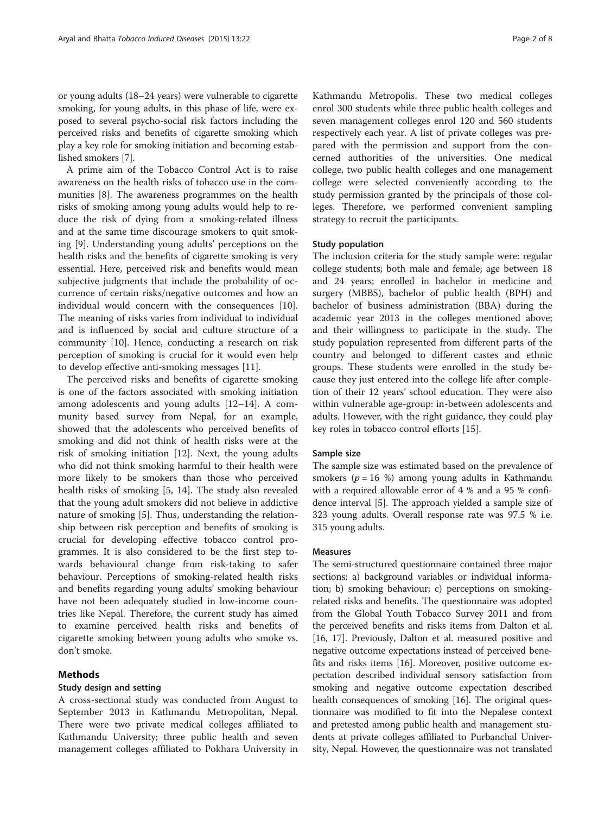or young adults (18–24 years) were vulnerable to cigarette smoking, for young adults, in this phase of life, were exposed to several psycho-social risk factors including the perceived risks and benefits of cigarette smoking which play a key role for smoking initiation and becoming established smokers [[7](#page-7-0)].

A prime aim of the Tobacco Control Act is to raise awareness on the health risks of tobacco use in the communities [\[8](#page-7-0)]. The awareness programmes on the health risks of smoking among young adults would help to reduce the risk of dying from a smoking-related illness and at the same time discourage smokers to quit smoking [\[9](#page-7-0)]. Understanding young adults' perceptions on the health risks and the benefits of cigarette smoking is very essential. Here, perceived risk and benefits would mean subjective judgments that include the probability of occurrence of certain risks/negative outcomes and how an individual would concern with the consequences [\[10](#page-7-0)]. The meaning of risks varies from individual to individual and is influenced by social and culture structure of a community [[10\]](#page-7-0). Hence, conducting a research on risk perception of smoking is crucial for it would even help to develop effective anti-smoking messages [\[11\]](#page-7-0).

The perceived risks and benefits of cigarette smoking is one of the factors associated with smoking initiation among adolescents and young adults [\[12](#page-7-0)–[14\]](#page-7-0). A community based survey from Nepal, for an example, showed that the adolescents who perceived benefits of smoking and did not think of health risks were at the risk of smoking initiation [[12](#page-7-0)]. Next, the young adults who did not think smoking harmful to their health were more likely to be smokers than those who perceived health risks of smoking [[5, 14](#page-7-0)]. The study also revealed that the young adult smokers did not believe in addictive nature of smoking [\[5](#page-7-0)]. Thus, understanding the relationship between risk perception and benefits of smoking is crucial for developing effective tobacco control programmes. It is also considered to be the first step towards behavioural change from risk-taking to safer behaviour. Perceptions of smoking-related health risks and benefits regarding young adults' smoking behaviour have not been adequately studied in low-income countries like Nepal. Therefore, the current study has aimed to examine perceived health risks and benefits of cigarette smoking between young adults who smoke vs. don't smoke.

# Methods

# Study design and setting

A cross-sectional study was conducted from August to September 2013 in Kathmandu Metropolitan, Nepal. There were two private medical colleges affiliated to Kathmandu University; three public health and seven management colleges affiliated to Pokhara University in

Kathmandu Metropolis. These two medical colleges enrol 300 students while three public health colleges and seven management colleges enrol 120 and 560 students respectively each year. A list of private colleges was prepared with the permission and support from the concerned authorities of the universities. One medical college, two public health colleges and one management college were selected conveniently according to the study permission granted by the principals of those colleges. Therefore, we performed convenient sampling strategy to recruit the participants.

#### Study population

The inclusion criteria for the study sample were: regular college students; both male and female; age between 18 and 24 years; enrolled in bachelor in medicine and surgery (MBBS), bachelor of public health (BPH) and bachelor of business administration (BBA) during the academic year 2013 in the colleges mentioned above; and their willingness to participate in the study. The study population represented from different parts of the country and belonged to different castes and ethnic groups. These students were enrolled in the study because they just entered into the college life after completion of their 12 years' school education. They were also within vulnerable age-group: in-between adolescents and adults. However, with the right guidance, they could play key roles in tobacco control efforts [[15\]](#page-7-0).

#### Sample size

The sample size was estimated based on the prevalence of smokers ( $p = 16$  %) among young adults in Kathmandu with a required allowable error of 4 % and a 95 % confidence interval [\[5](#page-7-0)]. The approach yielded a sample size of 323 young adults. Overall response rate was 97.5 % i.e. 315 young adults.

#### Measures

The semi-structured questionnaire contained three major sections: a) background variables or individual information; b) smoking behaviour; c) perceptions on smokingrelated risks and benefits. The questionnaire was adopted from the Global Youth Tobacco Survey 2011 and from the perceived benefits and risks items from Dalton et al. [[16](#page-7-0), [17](#page-7-0)]. Previously, Dalton et al. measured positive and negative outcome expectations instead of perceived benefits and risks items [[16](#page-7-0)]. Moreover, positive outcome expectation described individual sensory satisfaction from smoking and negative outcome expectation described health consequences of smoking [\[16\]](#page-7-0). The original questionnaire was modified to fit into the Nepalese context and pretested among public health and management students at private colleges affiliated to Purbanchal University, Nepal. However, the questionnaire was not translated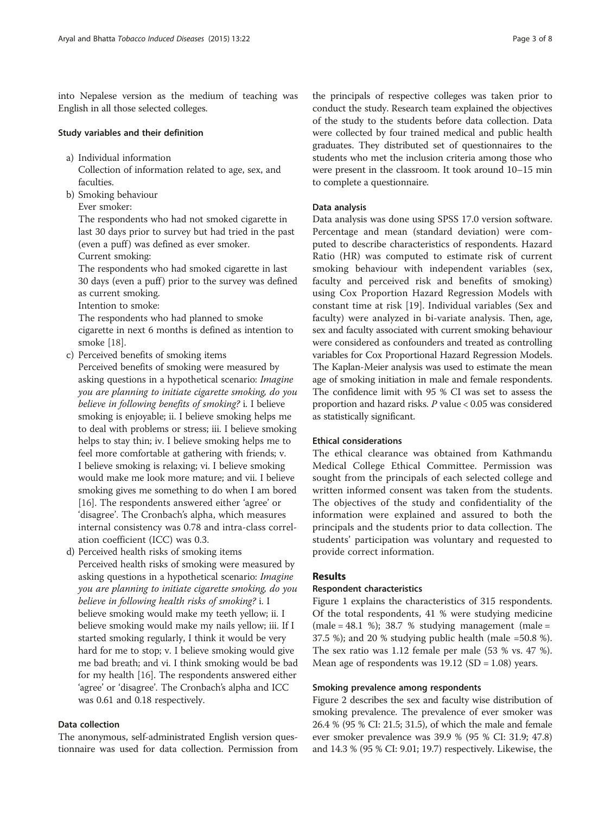into Nepalese version as the medium of teaching was English in all those selected colleges.

# Study variables and their definition

- a) Individual information
	- Collection of information related to age, sex, and faculties.
- b) Smoking behaviour Ever smoker:

The respondents who had not smoked cigarette in last 30 days prior to survey but had tried in the past (even a puff) was defined as ever smoker.

Current smoking:

The respondents who had smoked cigarette in last 30 days (even a puff) prior to the survey was defined as current smoking.

Intention to smoke:

The respondents who had planned to smoke cigarette in next 6 months is defined as intention to smoke [\[18\]](#page-7-0).

- c) Perceived benefits of smoking items Perceived benefits of smoking were measured by asking questions in a hypothetical scenario: Imagine you are planning to initiate cigarette smoking, do you believe in following benefits of smoking? i. I believe smoking is enjoyable; ii. I believe smoking helps me to deal with problems or stress; iii. I believe smoking helps to stay thin; iv. I believe smoking helps me to feel more comfortable at gathering with friends; v. I believe smoking is relaxing; vi. I believe smoking would make me look more mature; and vii. I believe smoking gives me something to do when I am bored [\[16](#page-7-0)]. The respondents answered either 'agree' or 'disagree'. The Cronbach's alpha, which measures internal consistency was 0.78 and intra-class correlation coefficient (ICC) was 0.3.
- d) Perceived health risks of smoking items Perceived health risks of smoking were measured by asking questions in a hypothetical scenario: Imagine you are planning to initiate cigarette smoking, do you believe in following health risks of smoking? i. I believe smoking would make my teeth yellow; ii. I believe smoking would make my nails yellow; iii. If I started smoking regularly, I think it would be very hard for me to stop; v. I believe smoking would give me bad breath; and vi. I think smoking would be bad for my health [\[16\]](#page-7-0). The respondents answered either 'agree' or 'disagree'. The Cronbach's alpha and ICC was 0.61 and 0.18 respectively.

#### Data collection

The anonymous, self-administrated English version questionnaire was used for data collection. Permission from

the principals of respective colleges was taken prior to conduct the study. Research team explained the objectives of the study to the students before data collection. Data were collected by four trained medical and public health graduates. They distributed set of questionnaires to the students who met the inclusion criteria among those who were present in the classroom. It took around 10–15 min to complete a questionnaire.

#### Data analysis

Data analysis was done using SPSS 17.0 version software. Percentage and mean (standard deviation) were computed to describe characteristics of respondents. Hazard Ratio (HR) was computed to estimate risk of current smoking behaviour with independent variables (sex, faculty and perceived risk and benefits of smoking) using Cox Proportion Hazard Regression Models with constant time at risk [[19\]](#page-7-0). Individual variables (Sex and faculty) were analyzed in bi-variate analysis. Then, age, sex and faculty associated with current smoking behaviour were considered as confounders and treated as controlling variables for Cox Proportional Hazard Regression Models. The Kaplan-Meier analysis was used to estimate the mean age of smoking initiation in male and female respondents. The confidence limit with 95 % CI was set to assess the proportion and hazard risks. P value < 0.05 was considered as statistically significant.

# Ethical considerations

The ethical clearance was obtained from Kathmandu Medical College Ethical Committee. Permission was sought from the principals of each selected college and written informed consent was taken from the students. The objectives of the study and confidentiality of the information were explained and assured to both the principals and the students prior to data collection. The students' participation was voluntary and requested to provide correct information.

# Results

### Respondent characteristics

Figure [1](#page-3-0) explains the characteristics of 315 respondents. Of the total respondents, 41 % were studying medicine  $(male = 48.1 \%)$ ; 38.7 % studying management  $(male =$ 37.5 %); and 20 % studying public health (male =50.8 %). The sex ratio was 1.12 female per male (53 % vs. 47 %). Mean age of respondents was  $19.12$  (SD = 1.08) years.

#### Smoking prevalence among respondents

Figure [2](#page-3-0) describes the sex and faculty wise distribution of smoking prevalence. The prevalence of ever smoker was 26.4 % (95 % CI: 21.5; 31.5), of which the male and female ever smoker prevalence was 39.9 % (95 % CI: 31.9; 47.8) and 14.3 % (95 % CI: 9.01; 19.7) respectively. Likewise, the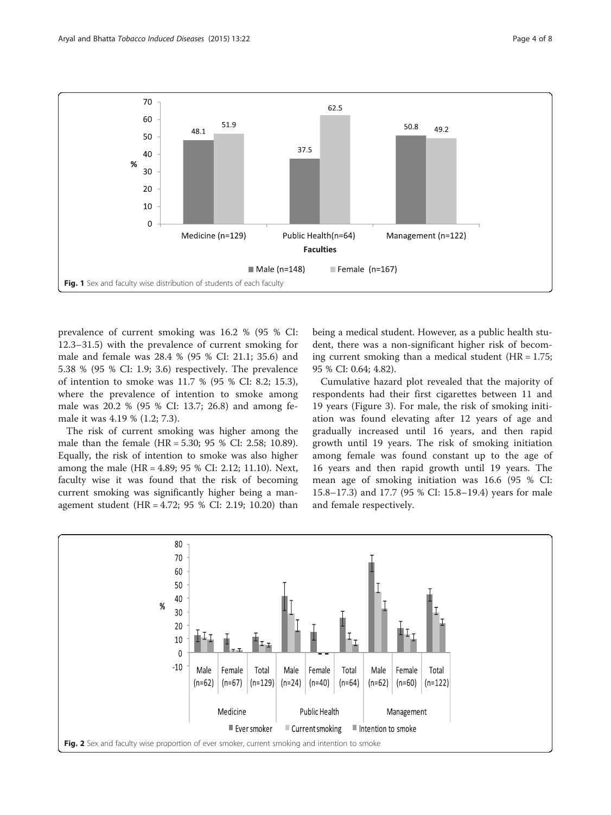<span id="page-3-0"></span>

prevalence of current smoking was 16.2 % (95 % CI: 12.3–31.5) with the prevalence of current smoking for male and female was 28.4 % (95 % CI: 21.1; 35.6) and 5.38 % (95 % CI: 1.9; 3.6) respectively. The prevalence of intention to smoke was 11.7 % (95 % CI: 8.2; 15.3), where the prevalence of intention to smoke among male was 20.2 % (95 % CI: 13.7; 26.8) and among female it was 4.19 % (1.2; 7.3).

The risk of current smoking was higher among the male than the female (HR = 5.30; 95 % CI: 2.58; 10.89). Equally, the risk of intention to smoke was also higher among the male (HR = 4.89; 95 % CI: 2.12; 11.10). Next, faculty wise it was found that the risk of becoming current smoking was significantly higher being a management student (HR = 4.72; 95 % CI: 2.19; 10.20) than being a medical student. However, as a public health student, there was a non-significant higher risk of becoming current smoking than a medical student  $(HR = 1.75;$ 95 % CI: 0.64; 4.82).

Cumulative hazard plot revealed that the majority of respondents had their first cigarettes between 11 and 19 years (Figure [3\)](#page-4-0). For male, the risk of smoking initiation was found elevating after 12 years of age and gradually increased until 16 years, and then rapid growth until 19 years. The risk of smoking initiation among female was found constant up to the age of 16 years and then rapid growth until 19 years. The mean age of smoking initiation was 16.6 (95 % CI: 15.8–17.3) and 17.7 (95 % CI: 15.8–19.4) years for male and female respectively.

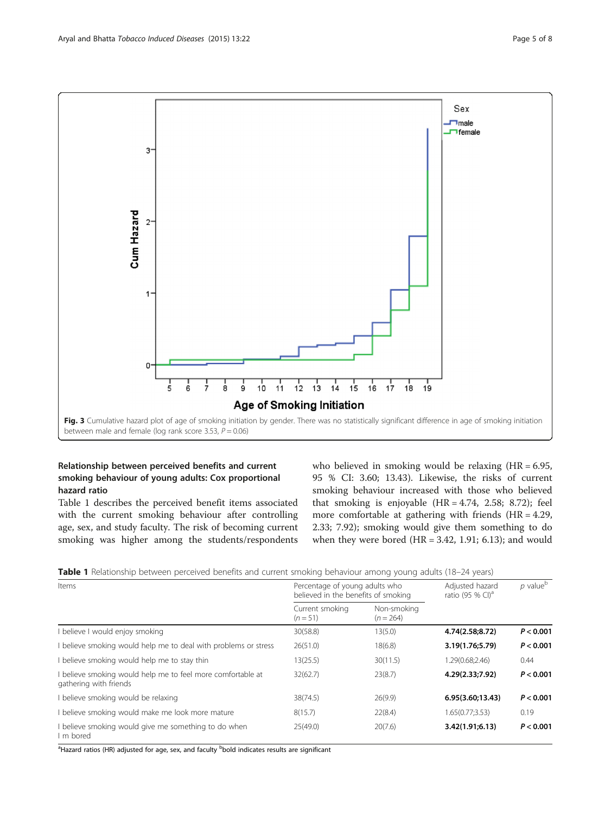<span id="page-4-0"></span>

# Relationship between perceived benefits and current smoking behaviour of young adults: Cox proportional hazard ratio

Table 1 describes the perceived benefit items associated with the current smoking behaviour after controlling age, sex, and study faculty. The risk of becoming current smoking was higher among the students/respondents

who believed in smoking would be relaxing  $(HR = 6.95,$ 95 % CI: 3.60; 13.43). Likewise, the risks of current smoking behaviour increased with those who believed that smoking is enjoyable  $(HR = 4.74, 2.58; 8.72)$ ; feel more comfortable at gathering with friends (HR = 4.29, 2.33; 7.92); smoking would give them something to do when they were bored  $(HR = 3.42, 1.91; 6.13)$ ; and would

Table 1 Relationship between perceived benefits and current smoking behaviour among young adults (18–24 years)

| Items                                                                               | Percentage of young adults who<br>believed in the benefits of smoking |                            | Adjusted hazard<br>ratio (95 % CI) <sup>a</sup> | $p$ value <sup>b</sup> |
|-------------------------------------------------------------------------------------|-----------------------------------------------------------------------|----------------------------|-------------------------------------------------|------------------------|
|                                                                                     | Current smoking<br>$(n=51)$                                           | Non-smoking<br>$(n = 264)$ |                                                 |                        |
| believe I would enjoy smoking                                                       | 30(58.8)                                                              | 13(5.0)                    | 4.74(2.58;8.72)                                 | P < 0.001              |
| believe smoking would help me to deal with problems or stress                       | 26(51.0)                                                              | 18(6.8)                    | 3.19(1.76;5.79)                                 | P < 0.001              |
| believe smoking would help me to stay thin                                          | 13(25.5)                                                              | 30(11.5)                   | 1.29(0.68;2.46)                                 | 0.44                   |
| believe smoking would help me to feel more comfortable at<br>gathering with friends | 32(62.7)                                                              | 23(8.7)                    | 4.29(2.33;7.92)                                 | P < 0.001              |
| believe smoking would be relaxing                                                   | 38(74.5)                                                              | 26(9.9)                    | 6.95(3.60;13.43)                                | P < 0.001              |
| believe smoking would make me look more mature                                      | 8(15.7)                                                               | 22(8.4)                    | 1.65(0.77;3.53)                                 | 0.19                   |
| believe smoking would give me something to do when<br>m bored                       | 25(49.0)                                                              | 20(7.6)                    | 3.42(1.91;6.13)                                 | P < 0.001              |

<sup>a</sup>Hazard ratios (HR) adjusted for age, sex, and faculty <sup>b</sup>bold indicates results are significant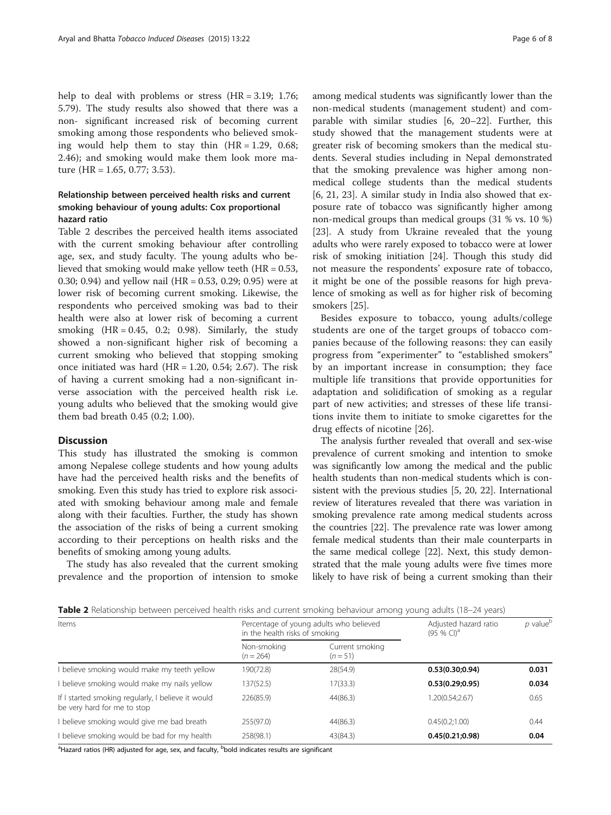help to deal with problems or stress (HR = 3.19; 1.76; 5.79). The study results also showed that there was a non- significant increased risk of becoming current smoking among those respondents who believed smoking would help them to stay thin  $(HR = 1.29, 0.68;$ 2.46); and smoking would make them look more mature (HR = 1.65, 0.77; 3.53).

# Relationship between perceived health risks and current smoking behaviour of young adults: Cox proportional hazard ratio

Table 2 describes the perceived health items associated with the current smoking behaviour after controlling age, sex, and study faculty. The young adults who believed that smoking would make yellow teeth  $(HR = 0.53,$ 0.30; 0.94) and yellow nail (HR = 0.53, 0.29; 0.95) were at lower risk of becoming current smoking. Likewise, the respondents who perceived smoking was bad to their health were also at lower risk of becoming a current smoking  $(HR = 0.45, 0.2; 0.98)$ . Similarly, the study showed a non-significant higher risk of becoming a current smoking who believed that stopping smoking once initiated was hard  $(HR = 1.20, 0.54; 2.67)$ . The risk of having a current smoking had a non-significant inverse association with the perceived health risk i.e. young adults who believed that the smoking would give them bad breath 0.45 (0.2; 1.00).

#### **Discussion**

This study has illustrated the smoking is common among Nepalese college students and how young adults have had the perceived health risks and the benefits of smoking. Even this study has tried to explore risk associated with smoking behaviour among male and female along with their faculties. Further, the study has shown the association of the risks of being a current smoking according to their perceptions on health risks and the benefits of smoking among young adults.

The study has also revealed that the current smoking prevalence and the proportion of intension to smoke

among medical students was significantly lower than the non-medical students (management student) and comparable with similar studies [[6, 20](#page-7-0)–[22](#page-7-0)]. Further, this study showed that the management students were at greater risk of becoming smokers than the medical students. Several studies including in Nepal demonstrated that the smoking prevalence was higher among nonmedical college students than the medical students [[6, 21, 23](#page-7-0)]. A similar study in India also showed that exposure rate of tobacco was significantly higher among non-medical groups than medical groups (31 % vs. 10 %) [[23\]](#page-7-0). A study from Ukraine revealed that the young adults who were rarely exposed to tobacco were at lower risk of smoking initiation [[24\]](#page-7-0). Though this study did not measure the respondents' exposure rate of tobacco, it might be one of the possible reasons for high prevalence of smoking as well as for higher risk of becoming smokers [[25\]](#page-7-0).

Besides exposure to tobacco, young adults/college students are one of the target groups of tobacco companies because of the following reasons: they can easily progress from "experimenter" to "established smokers" by an important increase in consumption; they face multiple life transitions that provide opportunities for adaptation and solidification of smoking as a regular part of new activities; and stresses of these life transitions invite them to initiate to smoke cigarettes for the drug effects of nicotine [[26\]](#page-7-0).

The analysis further revealed that overall and sex-wise prevalence of current smoking and intention to smoke was significantly low among the medical and the public health students than non-medical students which is consistent with the previous studies [[5, 20, 22](#page-7-0)]. International review of literatures revealed that there was variation in smoking prevalence rate among medical students across the countries [[22](#page-7-0)]. The prevalence rate was lower among female medical students than their male counterparts in the same medical college [\[22\]](#page-7-0). Next, this study demonstrated that the male young adults were five times more likely to have risk of being a current smoking than their

|  | Table 2 Relationship between perceived health risks and current smoking behaviour among young adults (18–24 years) |  |  |  |  |
|--|--------------------------------------------------------------------------------------------------------------------|--|--|--|--|
|--|--------------------------------------------------------------------------------------------------------------------|--|--|--|--|

| Items                                                                             | in the health risks of smoking | Percentage of young adults who believed | Adjusted hazard ratio<br>$(95%$ CI) <sup>a</sup> | $p$ value <sup>b</sup> |
|-----------------------------------------------------------------------------------|--------------------------------|-----------------------------------------|--------------------------------------------------|------------------------|
|                                                                                   | Non-smoking<br>$(n = 264)$     | Current smoking<br>$(n=51)$             |                                                  |                        |
| I believe smoking would make my teeth yellow                                      | 190(72.8)                      | 28(54.9)                                | 0.53(0.30;0.94)                                  | 0.031                  |
| I believe smoking would make my nails yellow                                      | 137(52.5)                      | 17(33.3)                                | 0.53(0.29;0.95)                                  | 0.034                  |
| If I started smoking regularly, I believe it would<br>be very hard for me to stop | 226(85.9)                      | 44(86.3)                                | 1.20(0.54;2.67)                                  | 0.65                   |
| I believe smoking would give me bad breath                                        | 255(97.0)                      | 44(86.3)                                | 0.45(0.2;1.00)                                   | 0.44                   |
| I believe smoking would be bad for my health                                      | 258(98.1)                      | 43(84.3)                                | 0.45(0.21;0.98)                                  | 0.04                   |

<sup>a</sup>Hazard ratios (HR) adjusted for age, sex, and faculty, <sup>b</sup>bold indicates results are significant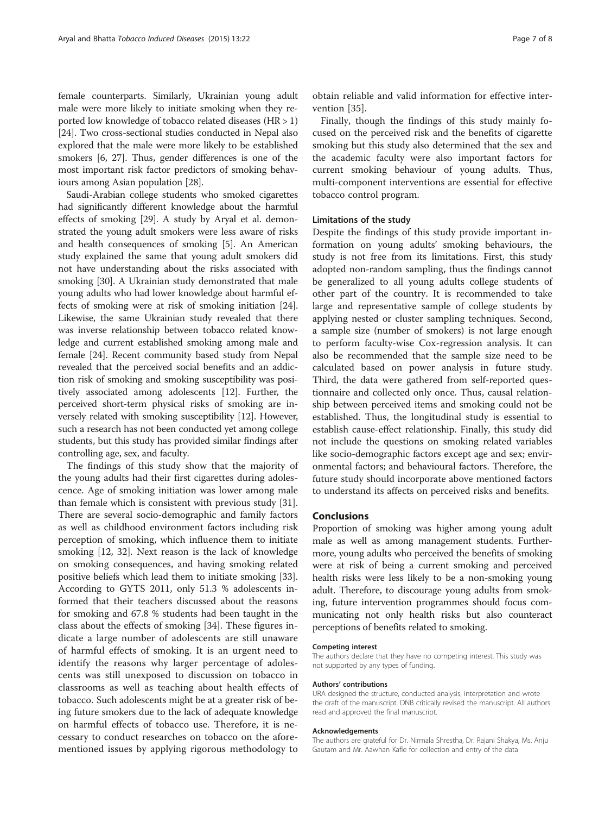female counterparts. Similarly, Ukrainian young adult male were more likely to initiate smoking when they reported low knowledge of tobacco related diseases (HR > 1) [[24](#page-7-0)]. Two cross-sectional studies conducted in Nepal also explored that the male were more likely to be established smokers [[6](#page-7-0), [27\]](#page-7-0). Thus, gender differences is one of the most important risk factor predictors of smoking behaviours among Asian population [[28](#page-7-0)].

Saudi-Arabian college students who smoked cigarettes had significantly different knowledge about the harmful effects of smoking [[29](#page-7-0)]. A study by Aryal et al. demonstrated the young adult smokers were less aware of risks and health consequences of smoking [[5](#page-7-0)]. An American study explained the same that young adult smokers did not have understanding about the risks associated with smoking [\[30\]](#page-7-0). A Ukrainian study demonstrated that male young adults who had lower knowledge about harmful effects of smoking were at risk of smoking initiation [[24](#page-7-0)]. Likewise, the same Ukrainian study revealed that there was inverse relationship between tobacco related knowledge and current established smoking among male and female [\[24\]](#page-7-0). Recent community based study from Nepal revealed that the perceived social benefits and an addiction risk of smoking and smoking susceptibility was positively associated among adolescents [\[12\]](#page-7-0). Further, the perceived short-term physical risks of smoking are inversely related with smoking susceptibility [[12\]](#page-7-0). However, such a research has not been conducted yet among college students, but this study has provided similar findings after controlling age, sex, and faculty.

The findings of this study show that the majority of the young adults had their first cigarettes during adolescence. Age of smoking initiation was lower among male than female which is consistent with previous study [\[31](#page-7-0)]. There are several socio-demographic and family factors as well as childhood environment factors including risk perception of smoking, which influence them to initiate smoking [\[12](#page-7-0), [32](#page-7-0)]. Next reason is the lack of knowledge on smoking consequences, and having smoking related positive beliefs which lead them to initiate smoking [\[33](#page-7-0)]. According to GYTS 2011, only 51.3 % adolescents informed that their teachers discussed about the reasons for smoking and 67.8 % students had been taught in the class about the effects of smoking [[34\]](#page-7-0). These figures indicate a large number of adolescents are still unaware of harmful effects of smoking. It is an urgent need to identify the reasons why larger percentage of adolescents was still unexposed to discussion on tobacco in classrooms as well as teaching about health effects of tobacco. Such adolescents might be at a greater risk of being future smokers due to the lack of adequate knowledge on harmful effects of tobacco use. Therefore, it is necessary to conduct researches on tobacco on the aforementioned issues by applying rigorous methodology to

obtain reliable and valid information for effective intervention [\[35](#page-7-0)].

Finally, though the findings of this study mainly focused on the perceived risk and the benefits of cigarette smoking but this study also determined that the sex and the academic faculty were also important factors for current smoking behaviour of young adults. Thus, multi-component interventions are essential for effective tobacco control program.

#### Limitations of the study

Despite the findings of this study provide important information on young adults' smoking behaviours, the study is not free from its limitations. First, this study adopted non-random sampling, thus the findings cannot be generalized to all young adults college students of other part of the country. It is recommended to take large and representative sample of college students by applying nested or cluster sampling techniques. Second, a sample size (number of smokers) is not large enough to perform faculty-wise Cox-regression analysis. It can also be recommended that the sample size need to be calculated based on power analysis in future study. Third, the data were gathered from self-reported questionnaire and collected only once. Thus, causal relationship between perceived items and smoking could not be established. Thus, the longitudinal study is essential to establish cause-effect relationship. Finally, this study did not include the questions on smoking related variables like socio-demographic factors except age and sex; environmental factors; and behavioural factors. Therefore, the future study should incorporate above mentioned factors to understand its affects on perceived risks and benefits.

#### Conclusions

Proportion of smoking was higher among young adult male as well as among management students. Furthermore, young adults who perceived the benefits of smoking were at risk of being a current smoking and perceived health risks were less likely to be a non-smoking young adult. Therefore, to discourage young adults from smoking, future intervention programmes should focus communicating not only health risks but also counteract perceptions of benefits related to smoking.

#### Competing interest

The authors declare that they have no competing interest. This study was not supported by any types of funding.

#### Authors' contributions

URA designed the structure, conducted analysis, interpretation and wrote the draft of the manuscript. DNB critically revised the manuscript. All authors read and approved the final manuscript.

#### Acknowledgements

The authors are grateful for Dr. Nirmala Shrestha, Dr. Rajani Shakya, Ms. Anju Gautam and Mr. Aawhan Kafle for collection and entry of the data